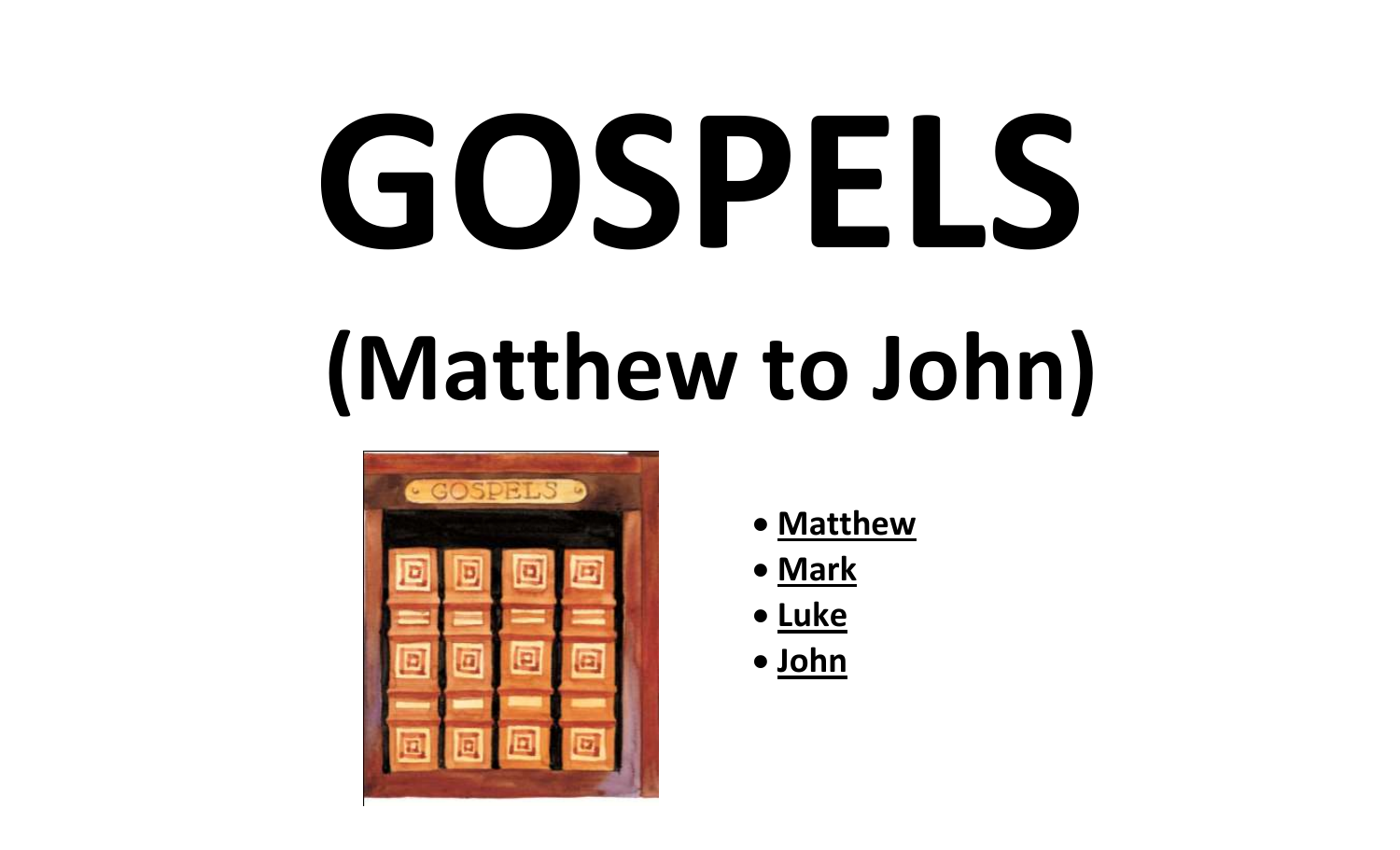# **GOSPELS (Matthew to John)**



- **[Matthew](http://www.usccb.org/bible/books-of-the-bible/#Isaiah)**
- **[Mark](http://www.usccb.org/bible/books-of-the-bible/#Jeremiah)**
- **[Luke](http://www.usccb.org/bible/books-of-the-bible/#Lamentations)**
- **[John](http://www.usccb.org/bible/books-of-the-bible/#Baruch)**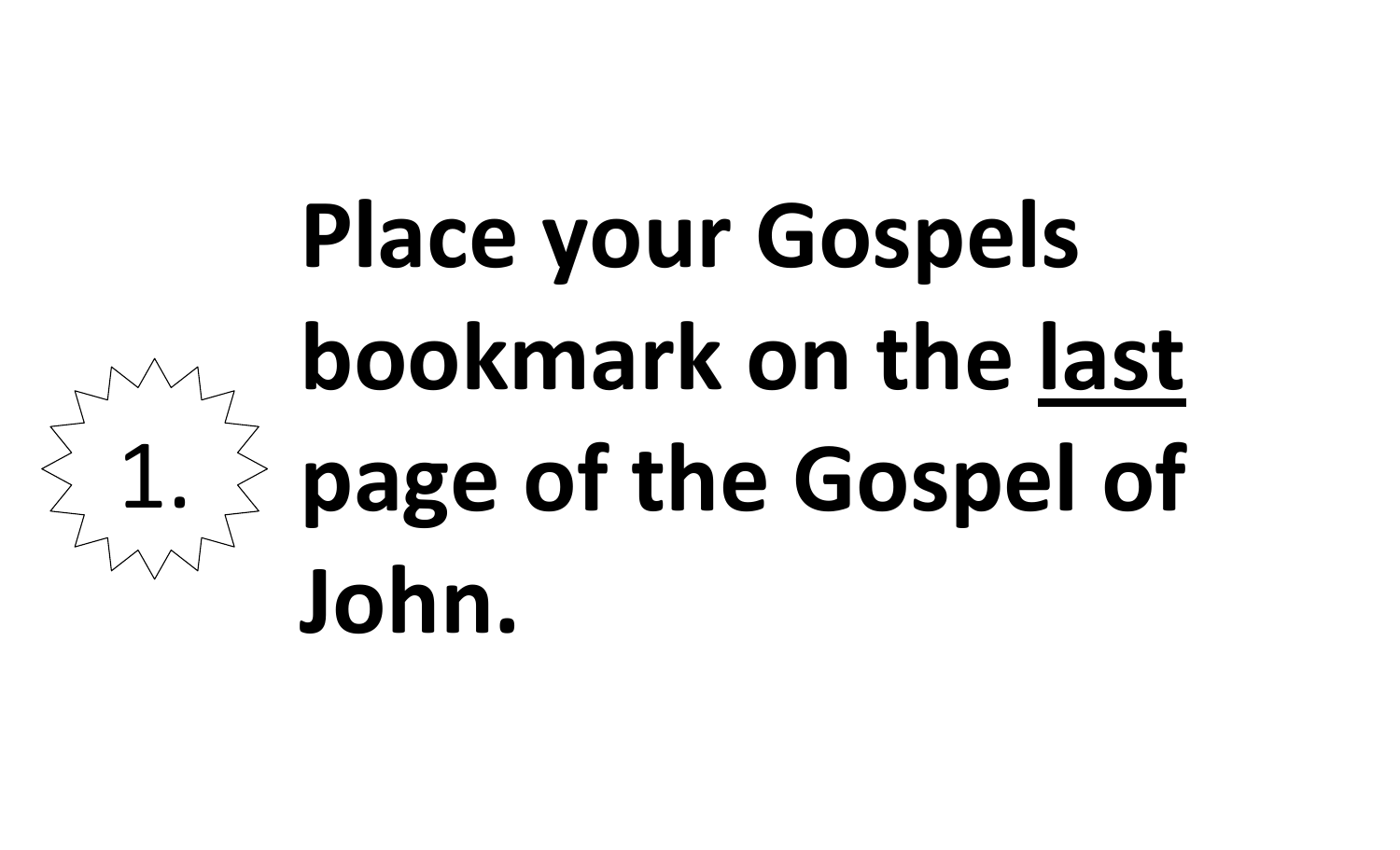# **Place your Gospels bookmark on the last page of the Gospel of John.**

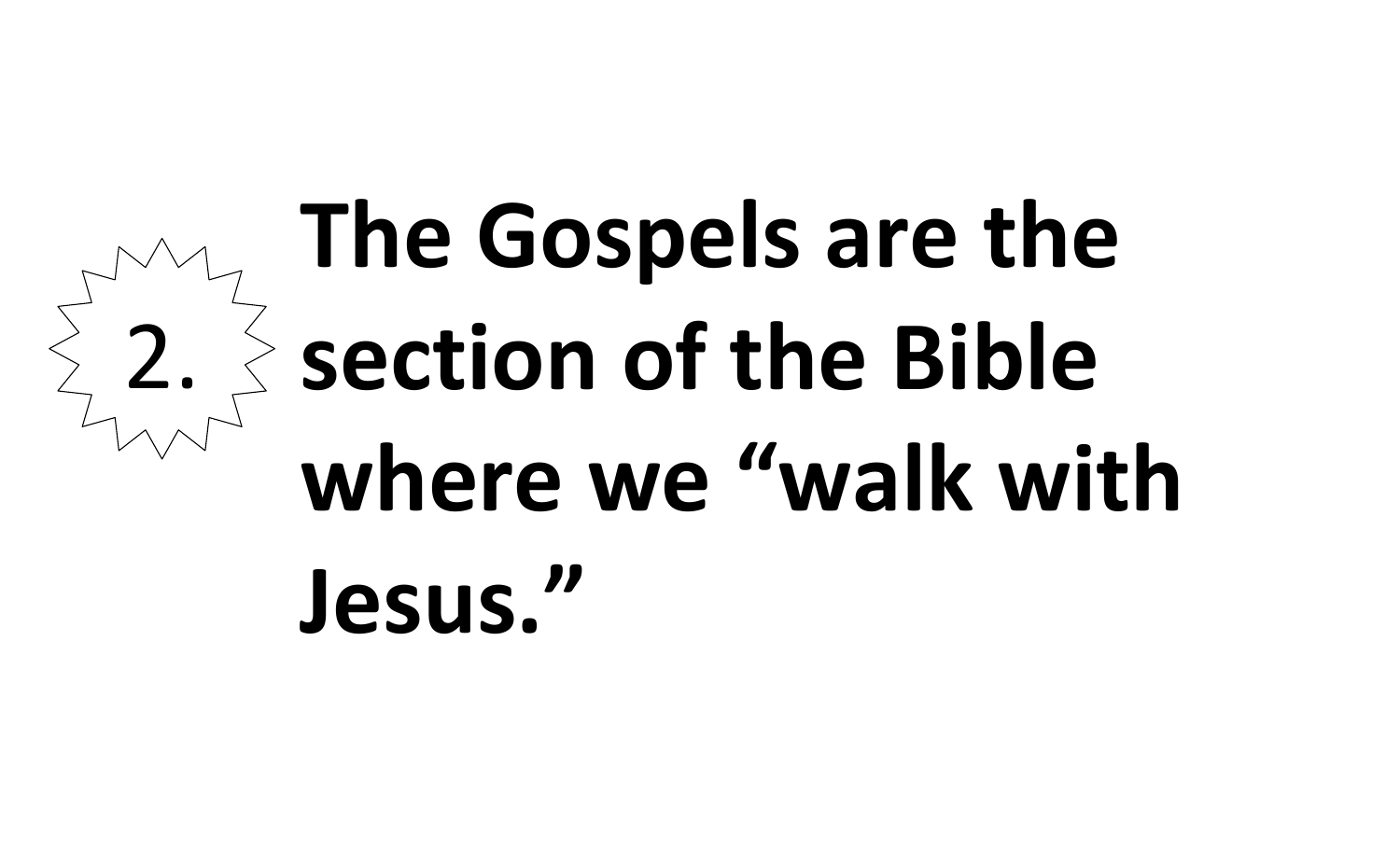

#### **The Gospels are the section of the Bible where we "walk with Jesus."**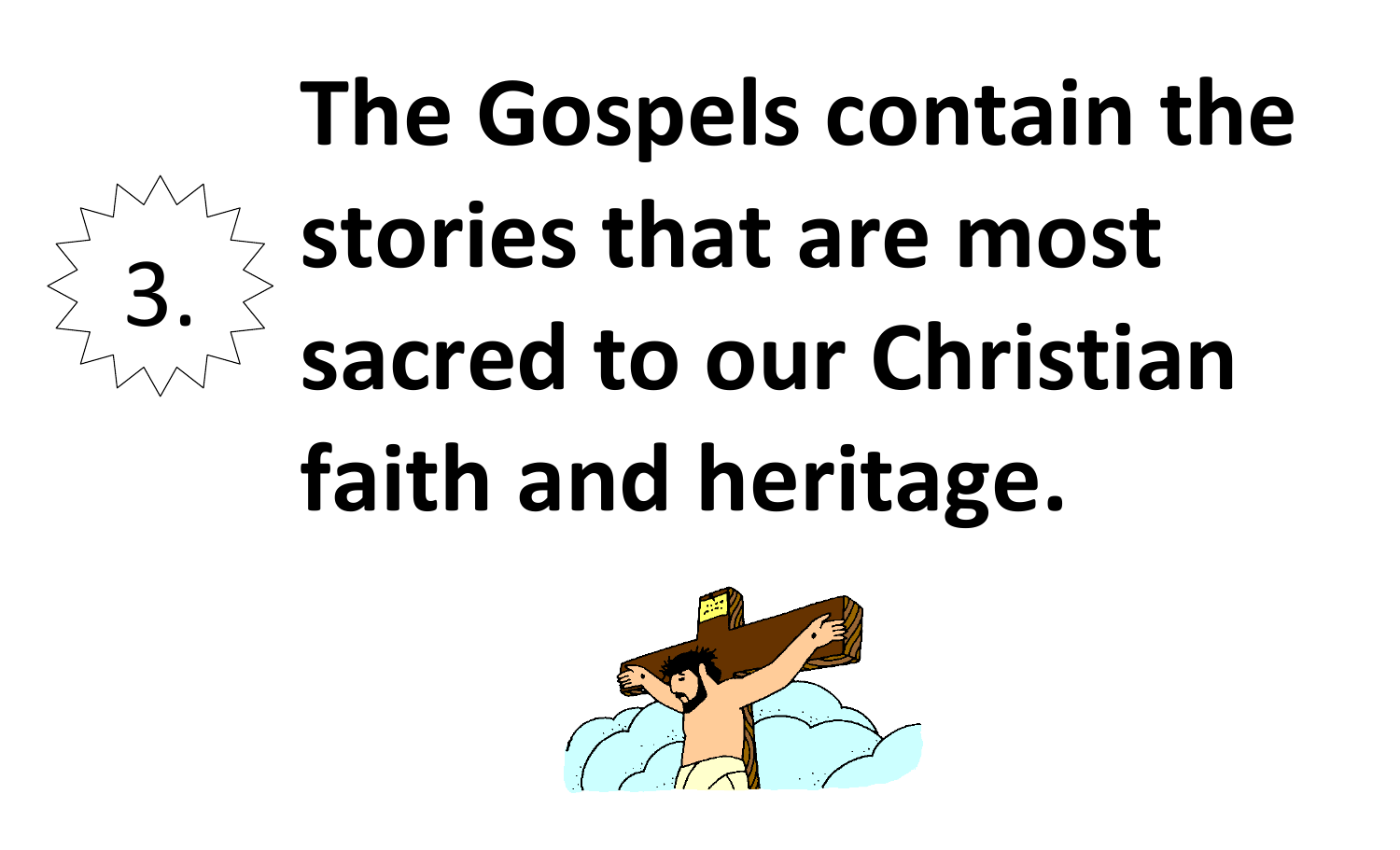# **The Gospels contain the stories that are most sacred to our Christian faith and heritage.**

3.

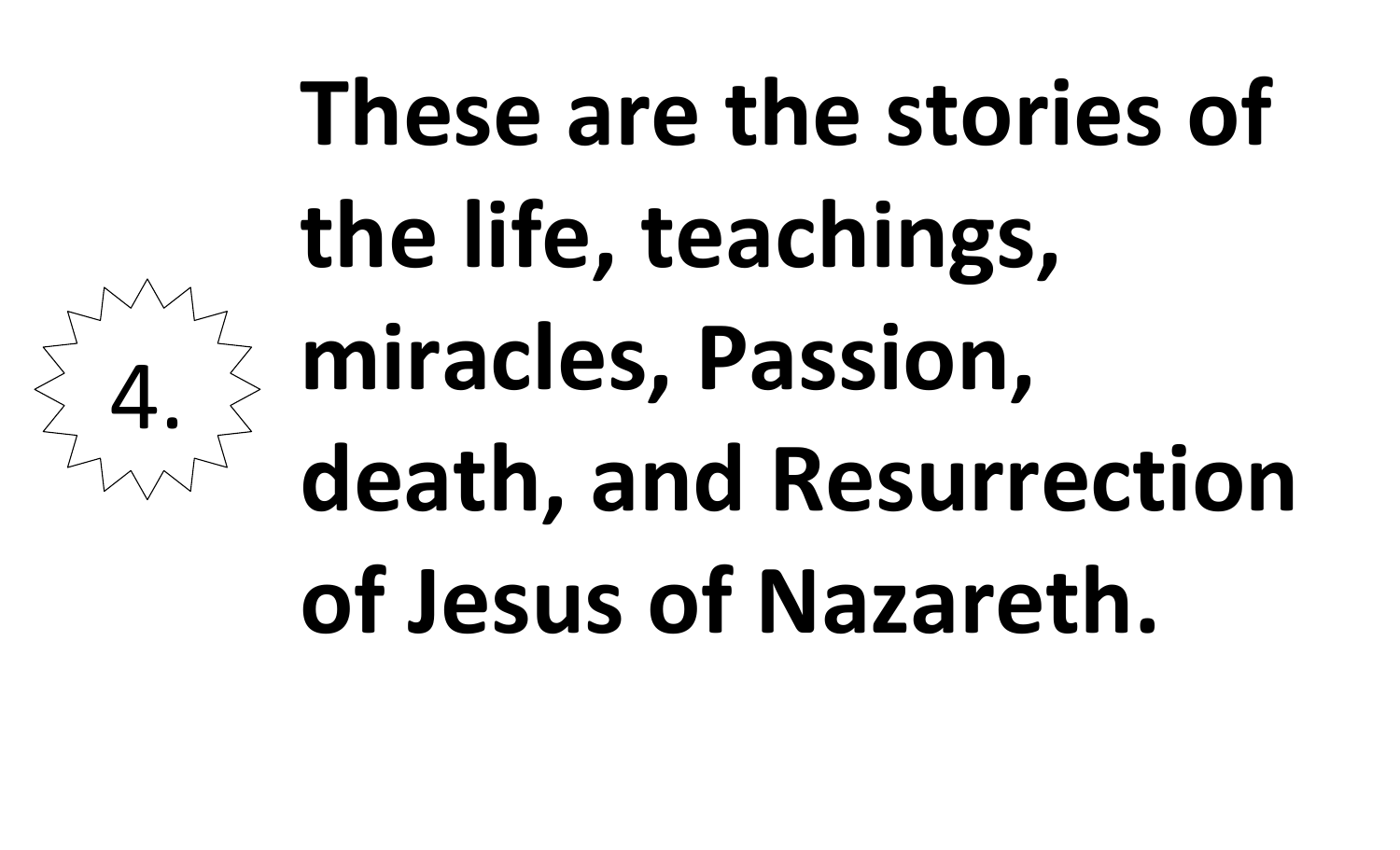# **These are the stories of the life, teachings, miracles, Passion, death, and Resurrection of Jesus of Nazareth.**

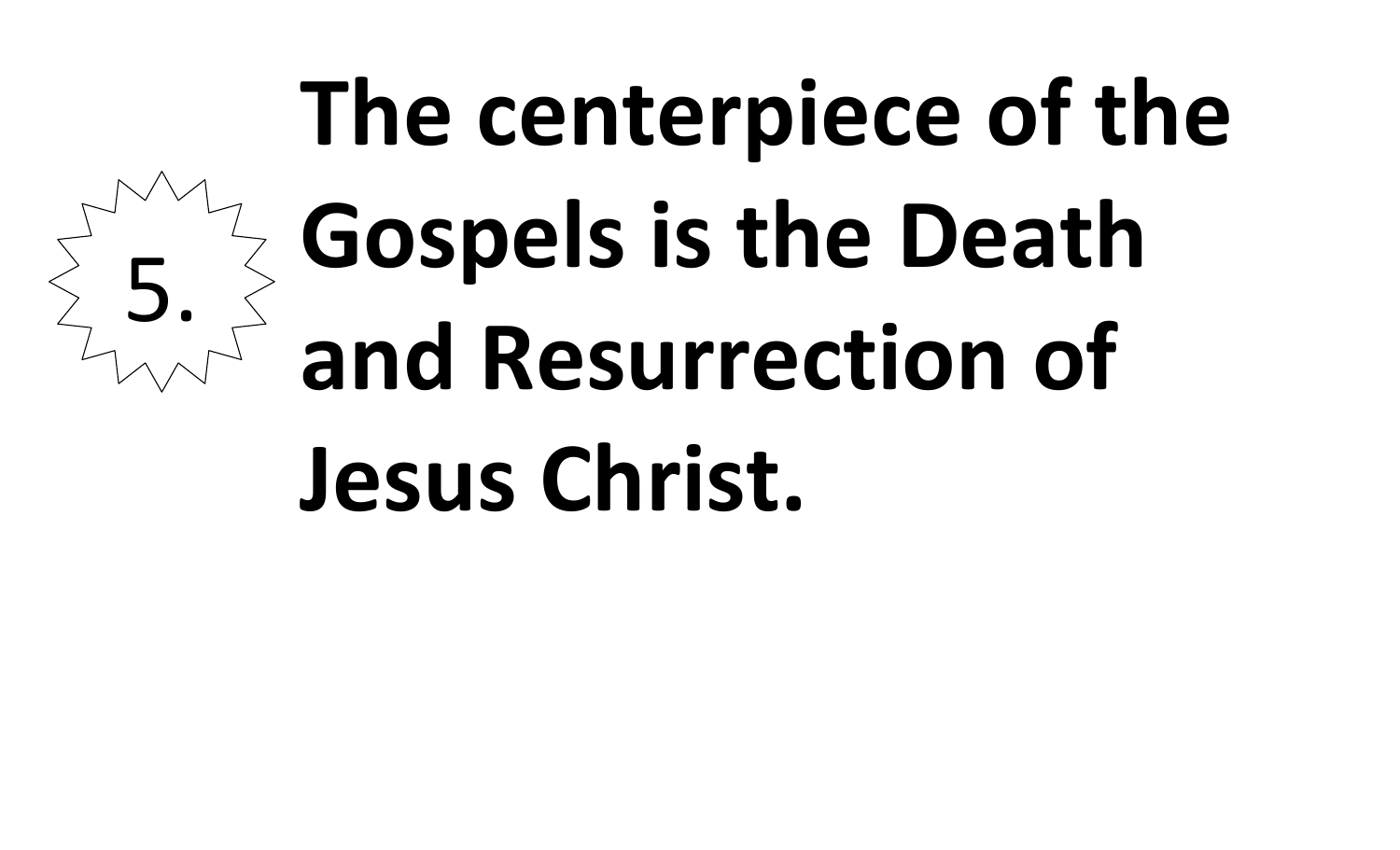### **The centerpiece of the Gospels is the Death and Resurrection of Jesus Christ.**

5.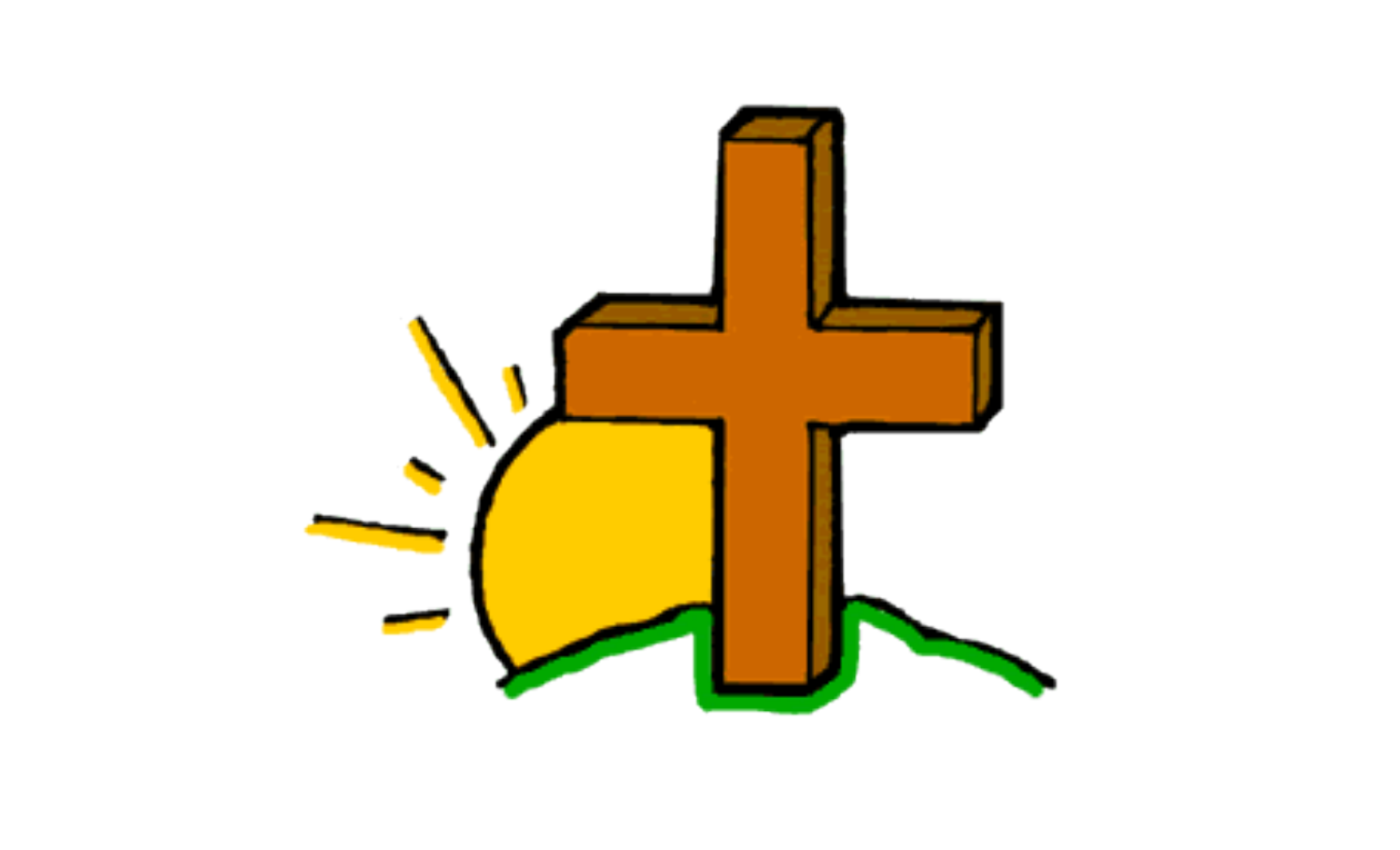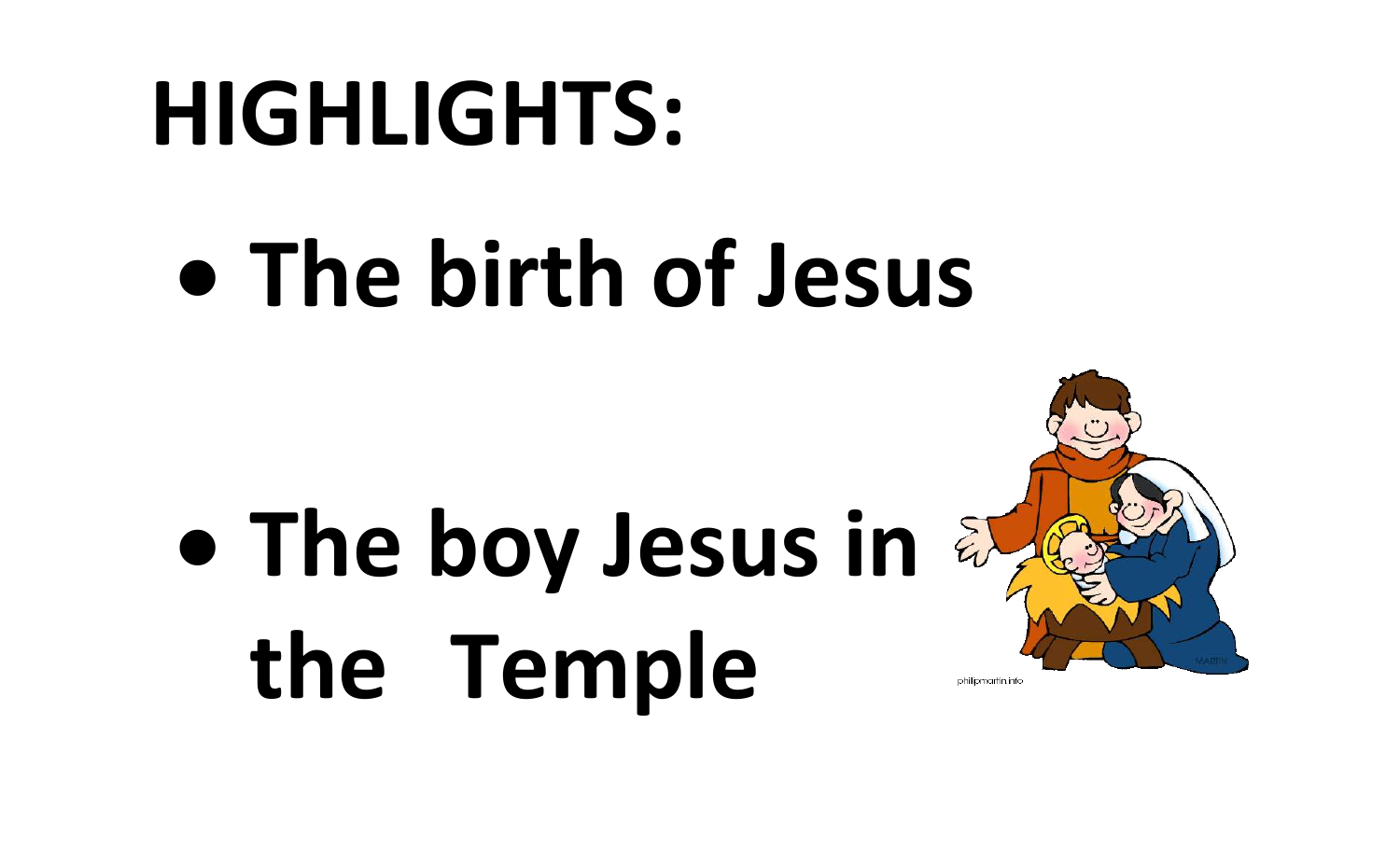# **HIGHLIGHTS: The birth of Jesus**

 **The boy Jesus in the Temple**

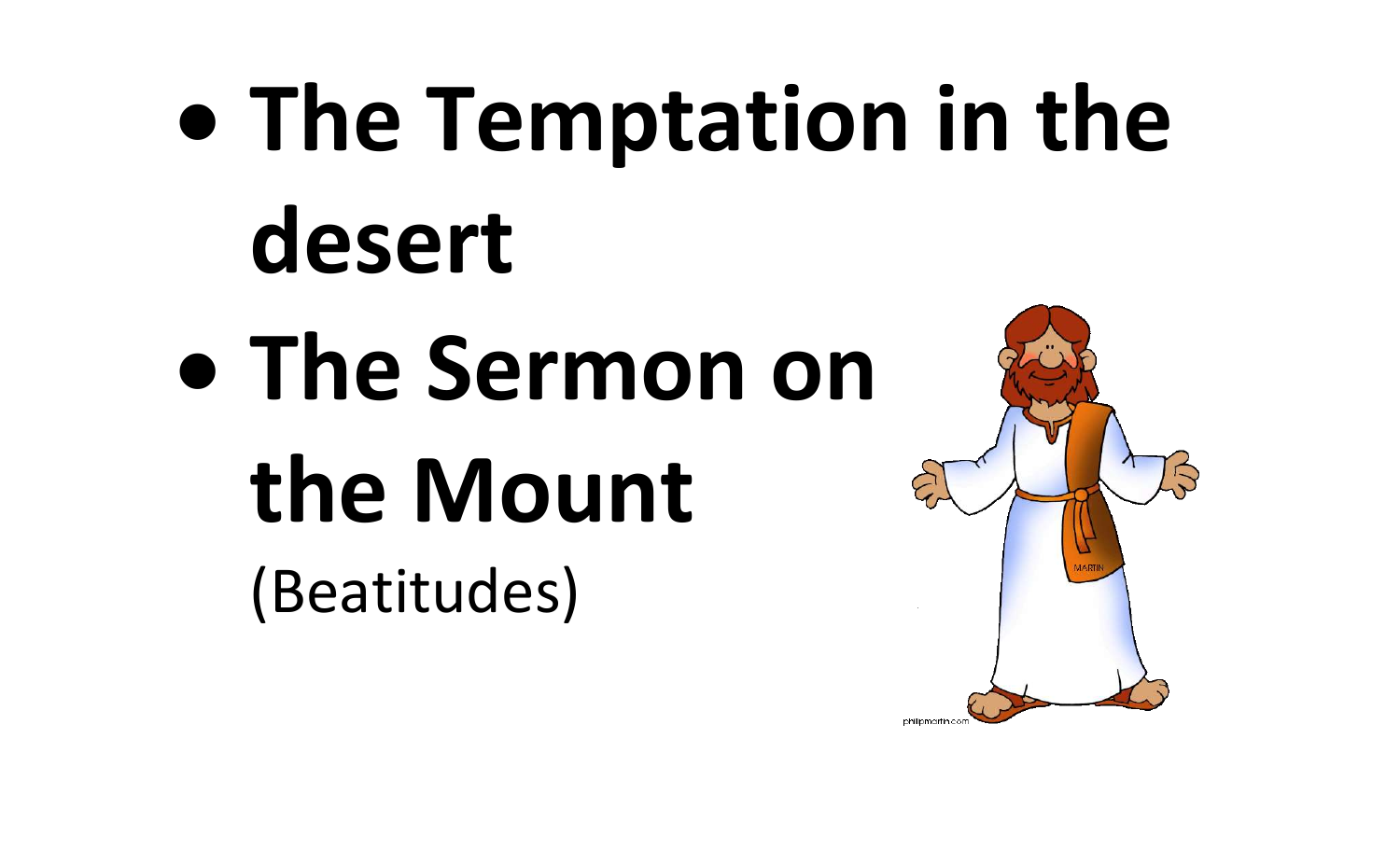### **The Temptation in the desert The Sermon on the Mount**  (Beatitudes)

phillipmartin.c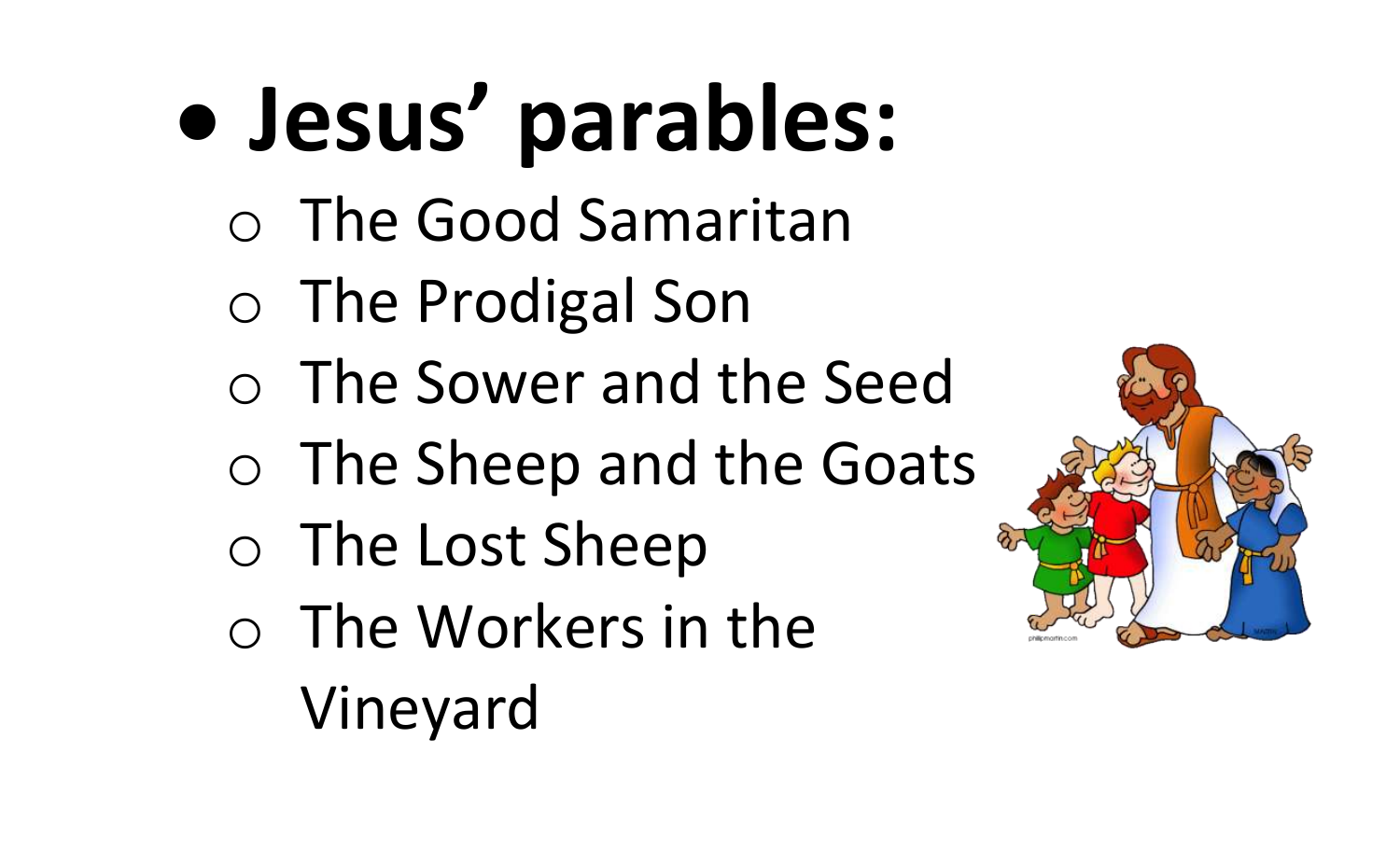#### **Jesus' parables:**

- o The Good Samaritan
- o The Prodigal Son
- o The Sower and the Seed
- o The Sheep and the Goats
- o The Lost Sheep
- o The Workers in the Vineyard

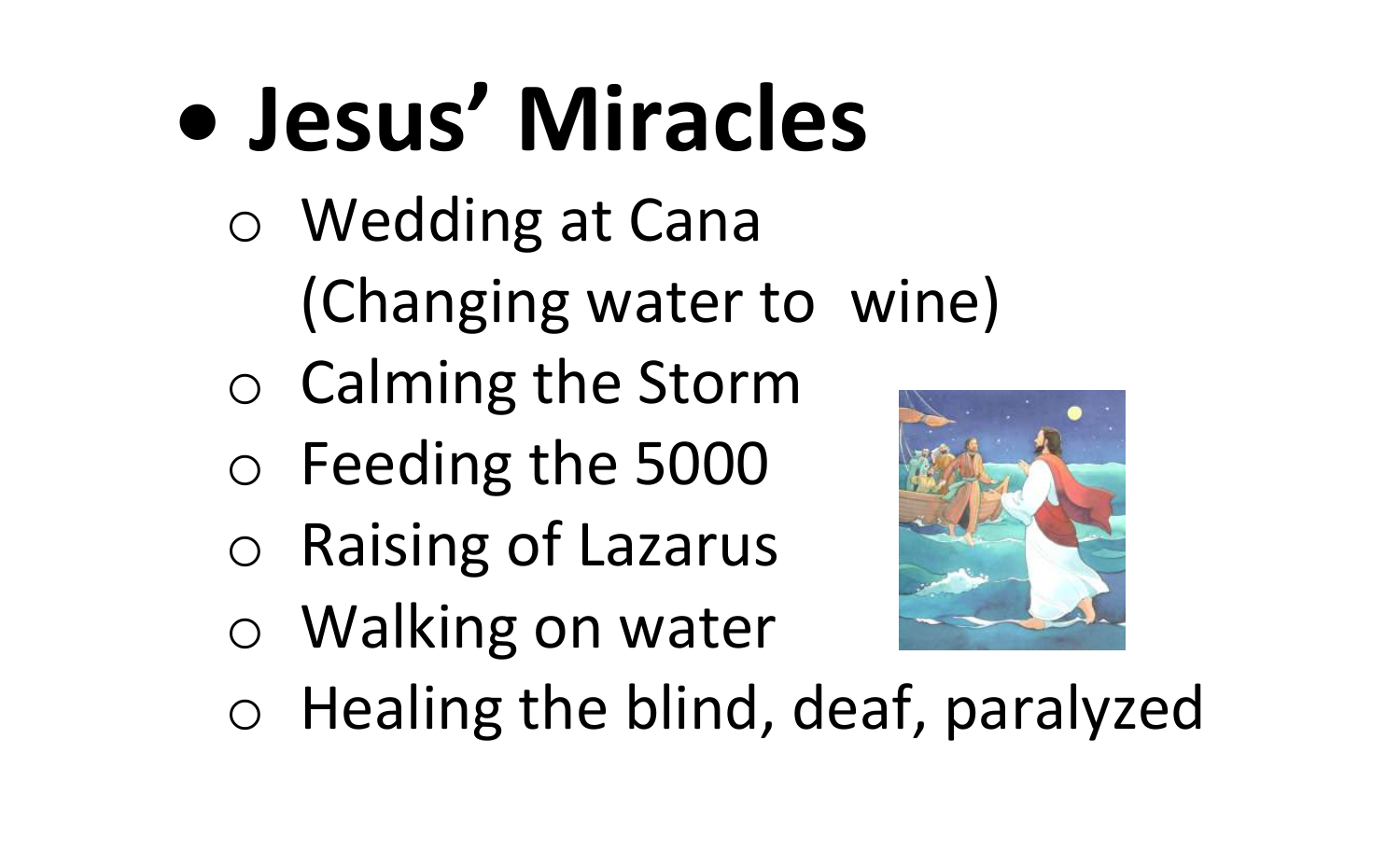#### **Jesus' Miracles**

- o Wedding at Cana
	- (Changing water to wine)
- o Calming the Storm
- o Feeding the 5000
- o Raising of Lazarus
- o Walking on water



o Healing the blind, deaf, paralyzed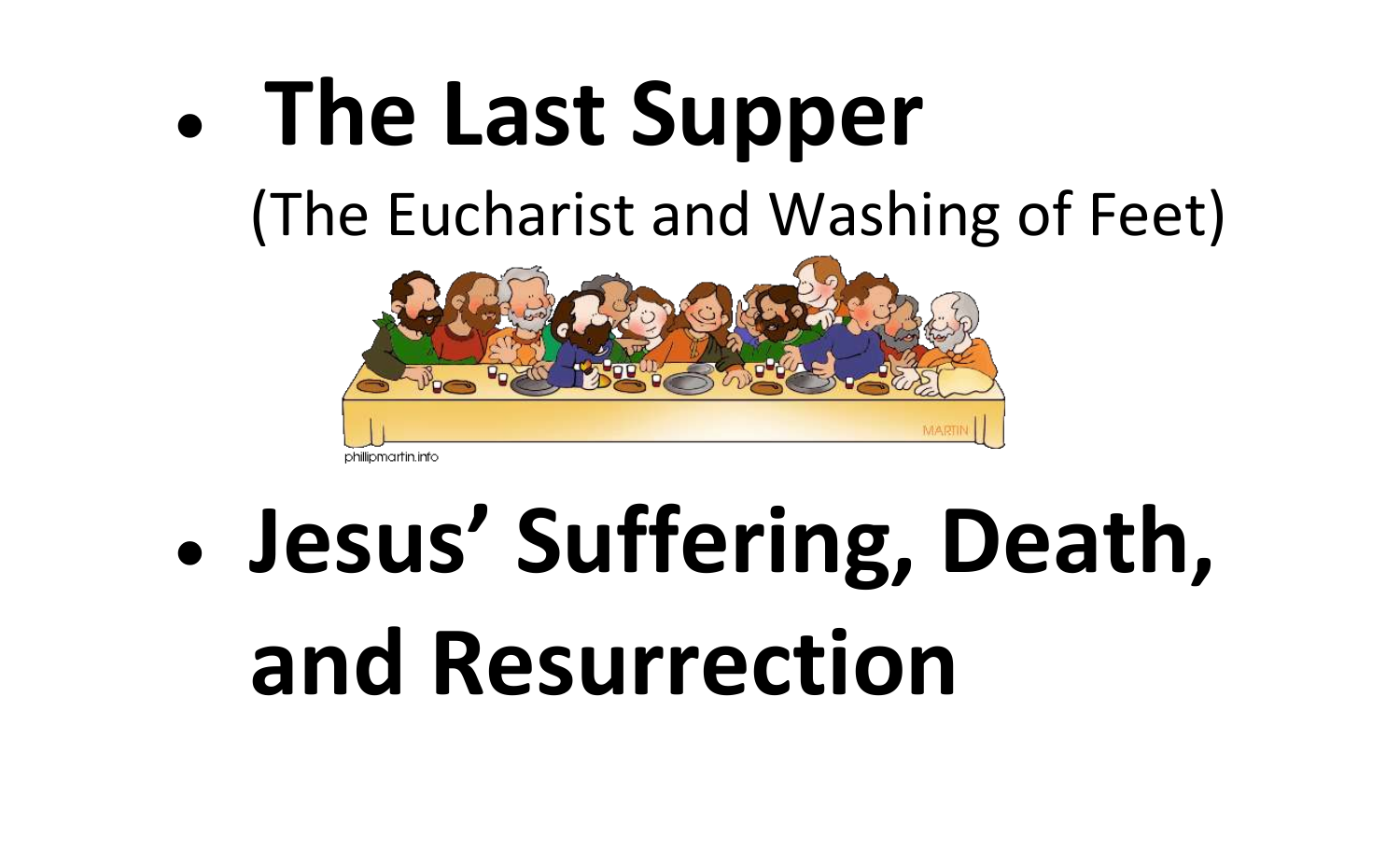#### **The Last Supper**  (The Eucharist and Washing of Feet)



#### **Jesus' Suffering, Death, and Resurrection**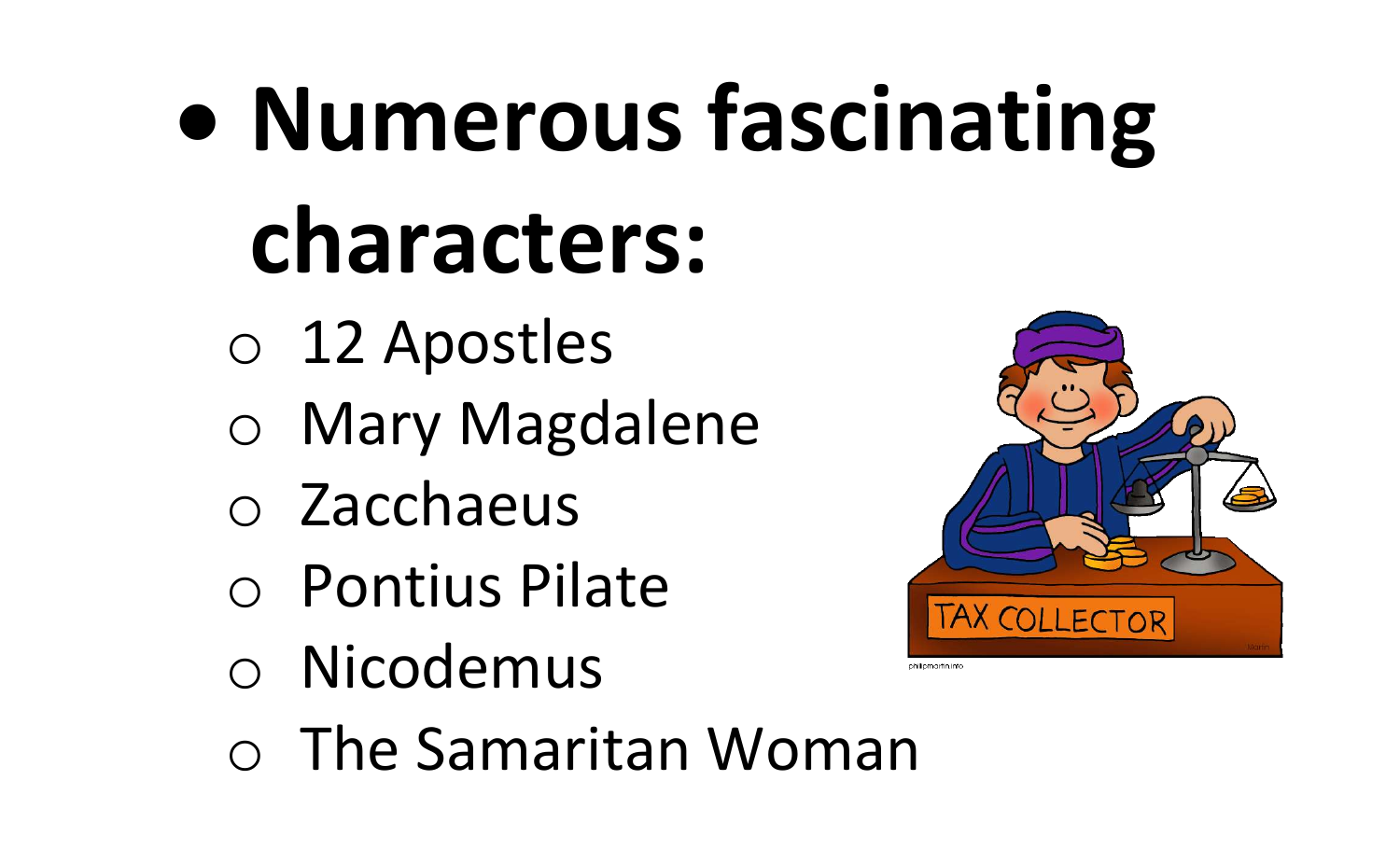### **Numerous fascinating characters:**

- o 12 Apostles
- o Mary Magdalene
- o Zacchaeus
- o Pontius Pilate
- o Nicodemus
- o The Samaritan Woman